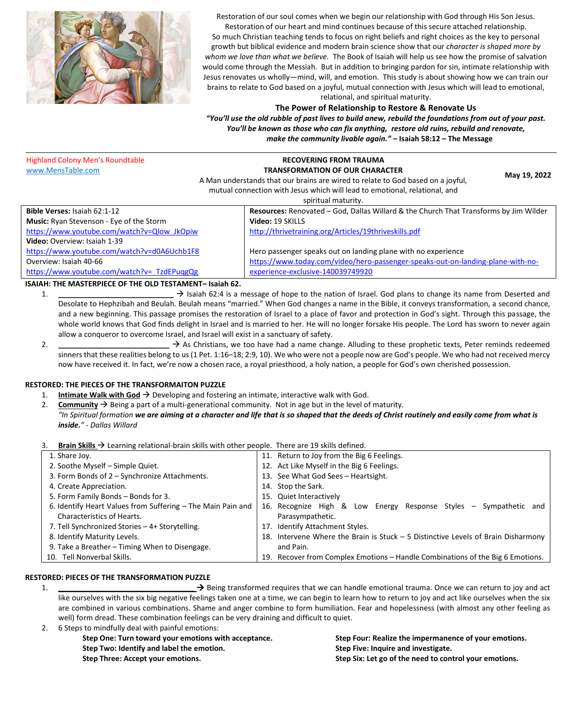

Restoration of our soul comes when we begin our relationship with God through His Son Jesus. Restoration of our heart and mind continues because of this secure attached relationship. So much Christian teaching tends to focus on right beliefs and right choices as the key to personal growth but biblical evidence and modern brain science show that our *character is shaped more by whom we love than what we believe.* The Book of Isaiah will help us see how the promise of salvation would come through the Messiah. But in addition to bringing pardon for sin, intimate relationship with Jesus renovates us wholly—mind, will, and emotion. This study is about showing how we can train our brains to relate to God based on a joyful, mutual connection with Jesus which will lead to emotional, relational, and spiritual maturity.

## **The Power of Relationship to Restore & Renovate Us**

*"You'll use the old rubble of past lives to build anew, rebuild the foundations from out of your past. You'll be known as those who can fix anything, restore old ruins, rebuild and renovate, make the community livable again."* **– Isaiah 58:12 – The Message**

| <b>Highland Colony Men's Roundtable</b>                                    | <b>RECOVERING FROM TRAUMA</b>                                                         |  |
|----------------------------------------------------------------------------|---------------------------------------------------------------------------------------|--|
| www.MensTable.com                                                          | <b>TRANSFORMATION OF OUR CHARACTER</b><br>May 19, 2022                                |  |
|                                                                            | A Man understands that our brains are wired to relate to God based on a joyful,       |  |
| mutual connection with Jesus which will lead to emotional, relational, and |                                                                                       |  |
|                                                                            | spiritual maturity.                                                                   |  |
| <b>Bible Verses: Isaiah 62:1-12</b>                                        | Resources: Renovated - God, Dallas Willard & the Church That Transforms by Jim Wilder |  |
| <b>Music:</b> Ryan Stevenson - Eye of the Storm                            | Video: 19 SKILLS                                                                      |  |
| https://www.youtube.com/watch?v=Qlow JkOpiw                                | http://thrivetraining.org/Articles/19thriveskills.pdf                                 |  |
| Video: Overview: Isaiah 1-39                                               |                                                                                       |  |
| https://www.youtube.com/watch?v=d0A6Uchb1F8                                | Hero passenger speaks out on landing plane with no experience                         |  |
| Overview: Isaiah 40-66                                                     | https://www.today.com/video/hero-passenger-speaks-out-on-landing-plane-with-no-       |  |
| https://www.youtube.com/watch?v= TzdEPuggQg                                | experience-exclusive-140039749920                                                     |  |

**ISAIAH: THE MASTERPIECE OF THE OLD TESTAMENT– Isaiah 62.**

1. **\_\_\_\_\_\_\_\_\_\_\_\_\_\_\_\_\_\_\_\_\_\_\_\_\_\_\_\_** → Isaiah 62:4 is a message of hope to the nation of Israel. God plans to change its name from Deserted and Desolate to Hephzibah and Beulah. Beulah means "married." When God changes a name in the Bible, it conveys transformation, a second chance, and a new beginning. This passage promises the restoration of Israel to a place of favor and protection in God's sight. Through this passage, the whole world knows that God finds delight in Israel and is married to her. He will no longer forsake His people. The Lord has sworn to never again allow a conqueror to overcome Israel, and Israel will exist in a sanctuary of safety.

2.  $\perp$   $\rightarrow$  As Christians, we too have had a name change. Alluding to these prophetic texts, Peter reminds redeemed sinners that these realities belong to us (1 Pet. 1:16–18; 2:9, 10). We who were not a people now are God's people. We who had not received mercy now have received it. In fact, we're now a chosen race, a royal priesthood, a holy nation, a people for God's own cherished possession.

#### **RESTORED: THE PIECES OF THE TRANSFORMAITON PUZZLE**

- 1. **Intimate Walk with God** → Developing and fostering an intimate, interactive walk with God.
- 2. **Community**  $\rightarrow$  Being a part of a multi-generational community. Not in age but in the level of maturity. *"In Spiritual formation we are aiming at a character and life that is so shaped that the deeds of Christ routinely and easily come from what is inside." - Dallas Willard*
- 3. **Brain Skills** → Learning relational-brain skills with other people. There are 19 skills defined.

| 1. Share Joy.                                               | 11. Return to Joy from the Big 6 Feelings.                                     |  |
|-------------------------------------------------------------|--------------------------------------------------------------------------------|--|
| 2. Soothe Myself - Simple Quiet.                            | 12. Act Like Myself in the Big 6 Feelings.                                     |  |
| 3. Form Bonds of 2 – Synchronize Attachments.               | 13. See What God Sees - Heartsight.                                            |  |
| 4. Create Appreciation.                                     | 14. Stop the Sark.                                                             |  |
| 5. Form Family Bonds - Bonds for 3.                         | 15. Quiet Interactively                                                        |  |
| 6. Identify Heart Values from Suffering – The Main Pain and | 16. Recognize High & Low Energy Response Styles -<br>Sympathetic and           |  |
| Characteristics of Hearts.                                  | Parasympathetic.                                                               |  |
| 7. Tell Synchronized Stories - 4+ Storytelling.             | Identify Attachment Styles.<br>17.                                             |  |
| 8. Identify Maturity Levels.                                | Intervene Where the Brain is Stuck $-5$ Distinctive Levels of Brain Disharmony |  |
| 9. Take a Breather - Timing When to Disengage.              | and Pain.                                                                      |  |
| 10. Tell Nonverbal Skills.                                  | 19. Recover from Complex Emotions – Handle Combinations of the Big 6 Emotions. |  |

# **RESTORED: PIECES OF THE TRANSFORMATION PUZZLE**

1. **\_\_\_\_\_\_\_\_\_\_\_\_\_\_\_\_\_\_\_\_\_\_\_\_\_\_\_\_\_\_\_\_\_** → Being transformed requires that we can handle emotional trauma. Once we can return to joy and act like ourselves with the six big negative feelings taken one at a time, we can begin to learn how to return to joy and act like ourselves when the six are combined in various combinations. Shame and anger combine to form humiliation. Fear and hopelessness (with almost any other feeling as well) form dread. These combination feelings can be very draining and difficult to quiet.

2. 6 Steps to mindfully deal with painful emotions:

**Step One: Turn toward your emotions with acceptance. Step Two: Identify and label the emotion. Step Three: Accept your emotions.**

**Step Four: Realize the impermanence of your emotions. Step Five: Inquire and investigate. Step Six: Let go of the need to control your emotions.**